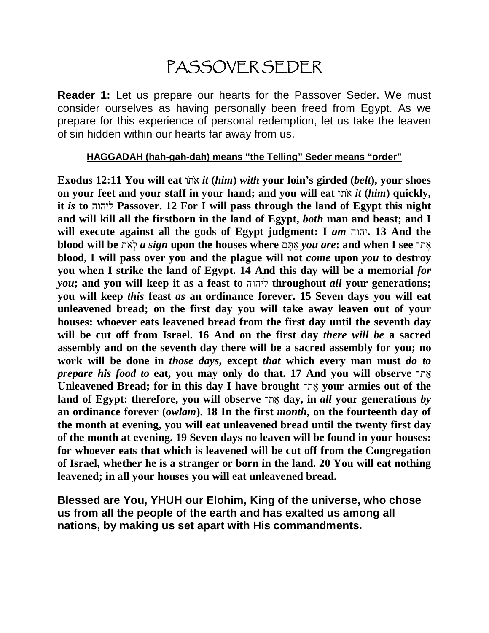# PASSOVER SEDER

**Reader 1:** Let us prepare our hearts for the Passover Seder. We must consider ourselves as having personally been freed from Egypt. As we prepare for this experience of personal redemption, let us take the leaven of sin hidden within our hearts far away from us.

**HAGGADAH (hah-gah-dah) means "the Telling" Seder means "order"**

**Exodus 12:11** You will eat  $\pi$  *inx it* (*him*) *with* your loin's girded (*belt*), your shoes **on your feet and your staff in your hand; and you will eat** וֹ תֹ א *it* **(***him***) quickly, it** *is* **to** ליהוה **Passover. 12 For I will pass through the land of Egypt this night and will kill all the firstborn in the land of Egypt,** *both* **man and beast; and I will execute against all the gods of Egypt judgment: I** *am* יהוה**. 13 And the blood will be** תֹ א ְל *a sign* **upon the houses where** ם ֶתּ ַא *you are***: and when I see** ת־ ֶא **blood, I will pass over you and the plague will not** *come* **upon** *you* **to destroy you when I strike the land of Egypt. 14 And this day will be a memorial** *for you***; and you will keep it as a feast to** ליהוה **throughout** *all* **your generations; you will keep** *this* **feast** *as* **an ordinance forever. 15 Seven days you will eat unleavened bread; on the first day you will take away leaven out of your houses: whoever eats leavened bread from the first day until the seventh day will be cut off from Israel. 16 And on the first day** *there will be* **a sacred assembly and on the seventh day there will be a sacred assembly for you; no work will be done in** *those days***, except** *that* **which every man must** *do to prepare his food to* **eat, you may only do that. 17 And you will observe** ת־ ֶא **Unleavened Bread; for in this day I have brought** ת־ ֶא **your armies out of the land of Egypt: therefore, you will observe** ת־ ֶא **day, in** *all* **your generations** *by* **an ordinance forever (***owlam***). 18 In the first** *month***, on the fourteenth day of the month at evening, you will eat unleavened bread until the twenty first day of the month at evening. 19 Seven days no leaven will be found in your houses: for whoever eats that which is leavened will be cut off from the Congregation of Israel, whether he is a stranger or born in the land. 20 You will eat nothing leavened; in all your houses you will eat unleavened bread.** 

**Blessed are You, YHUH our Elohim, King of the universe, who chose us from all the people of the earth and has exalted us among all nations, by making us set apart with His commandments.**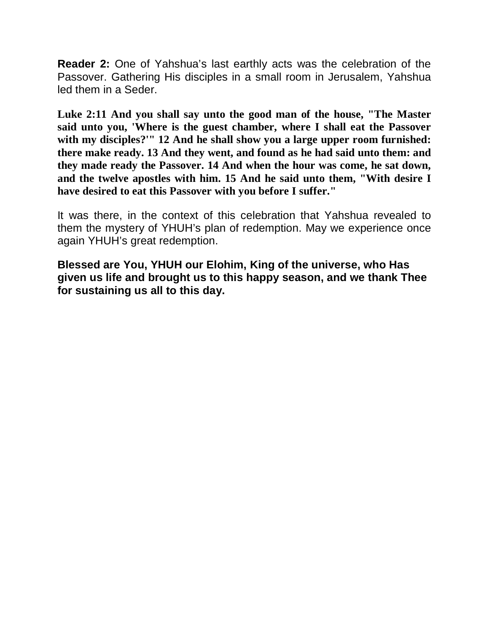**Reader 2:** One of Yahshua's last earthly acts was the celebration of the Passover. Gathering His disciples in a small room in Jerusalem, Yahshua led them in a Seder.

**Luke 2:11 And you shall say unto the good man of the house, "The Master said unto you, 'Where is the guest chamber, where I shall eat the Passover with my disciples?'" 12 And he shall show you a large upper room furnished: there make ready. 13 And they went, and found as he had said unto them: and they made ready the Passover. 14 And when the hour was come, he sat down, and the twelve apostles with him. 15 And he said unto them, "With desire I have desired to eat this Passover with you before I suffer."**

It was there, in the context of this celebration that Yahshua revealed to them the mystery of YHUH's plan of redemption. May we experience once again YHUH's great redemption.

**Blessed are You, YHUH our Elohim, King of the universe, who Has given us life and brought us to this happy season, and we thank Thee for sustaining us all to this day.**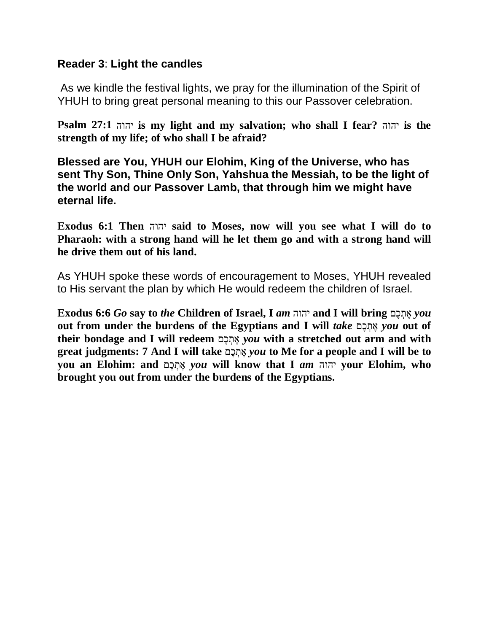#### **Reader 3**: **Light the candles**

As we kindle the festival lights, we pray for the illumination of the Spirit of YHUH to bring great personal meaning to this our Passover celebration.

**Psalm 27:1** יהוה **is my light and my salvation; who shall I fear?** יהוה **is the strength of my life; of who shall I be afraid?** 

**Blessed are You, YHUH our Elohim, King of the Universe, who has sent Thy Son, Thine Only Son, Yahshua the Messiah, to be the light of the world and our Passover Lamb, that through him we might have eternal life.** 

**Exodus 6:1 Then** יהוה **said to Moses, now will you see what I will do to Pharaoh: with a strong hand will he let them go and with a strong hand will he drive them out of his land.**

As YHUH spoke these words of encouragement to Moses, YHUH revealed to His servant the plan by which He would redeem the children of Israel.

**Exodus 6:6** *Go* **say to** *the* **Children of Israel, I** *am* יהוה **and I will bring** םֶכ ְת ֶא *you* out from under the burdens of the Egyptians and I will *take*  $a$ תְכָם *you* out of their bondage and I will redeem אֲתָכָם *you* with a stretched out arm and with **great judgments: 7 And I will take** םֶכ ְת ֶא *you* **to Me for a people and I will be to you an Elohim: and** םֶכ ְת ֶא *you* **will know that I** *am* יהוה **your Elohim, who brought you out from under the burdens of the Egyptians.**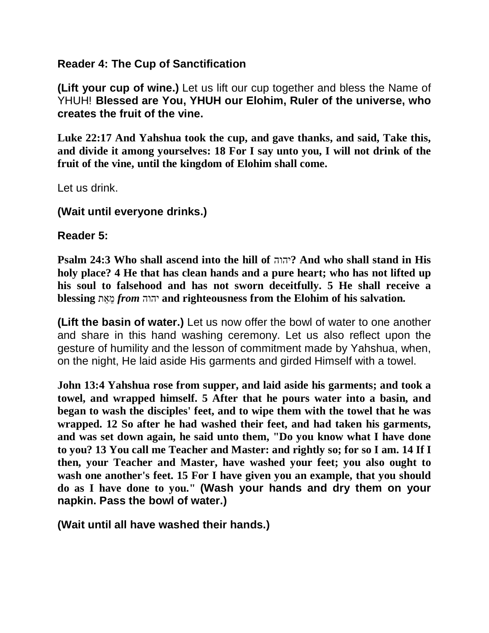## **Reader 4: The Cup of Sanctification**

**(Lift your cup of wine.)** Let us lift our cup together and bless the Name of YHUH! **Blessed are You, YHUH our Elohim, Ruler of the universe, who creates the fruit of the vine.**

**Luke 22:17 And Yahshua took the cup, and gave thanks, and said, Take this, and divide it among yourselves: 18 For I say unto you, I will not drink of the fruit of the vine, until the kingdom of Elohim shall come.**

Let us drink.

**(Wait until everyone drinks.)**

**Reader 5:**

**Psalm 24:3 Who shall ascend into the hill of** יהוה **?And who shall stand in His holy place? 4 He that has clean hands and a pure heart; who has not lifted up his soul to falsehood and has not sworn deceitfully. 5 He shall receive a blessing** ת ֵא ֵמ *from* יהוה **and righteousness from the Elohim of his salvation.** 

**(Lift the basin of water.)** Let us now offer the bowl of water to one another and share in this hand washing ceremony. Let us also reflect upon the gesture of humility and the lesson of commitment made by Yahshua, when, on the night, He laid aside His garments and girded Himself with a towel.

**John 13:4 Yahshua rose from supper, and laid aside his garments; and took a towel, and wrapped himself. 5 After that he pours water into a basin, and began to wash the disciples' feet, and to wipe them with the towel that he was wrapped. 12 So after he had washed their feet, and had taken his garments, and was set down again, he said unto them, "Do you know what I have done to you? 13 You call me Teacher and Master: and rightly so; for so I am. 14 If I then, your Teacher and Master, have washed your feet; you also ought to wash one another's feet. 15 For I have given you an example, that you should do as I have done to you." (Wash your hands and dry them on your napkin. Pass the bowl of water.)**

**(Wait until all have washed their hands.)**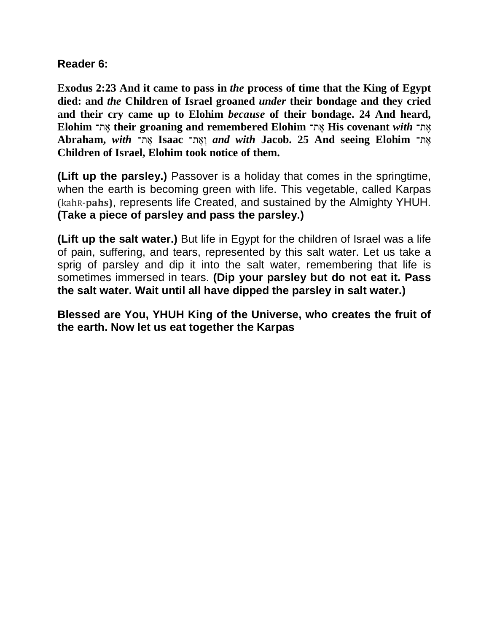## **Reader 6:**

**Exodus 2:23 And it came to pass in** *the* **process of time that the King of Egypt died: and** *the* **Children of Israel groaned** *under* **their bondage and they cried and their cry came up to Elohim** *because* **of their bondage. 24 And heard, Elohim** ת־ ֶא **their groaning and remembered Elohim** ת־ ֶא **His covenant** *with* ת־ ֶא Abraham, with אָת־ **Isaac** וְאֶת־ *and with* **Jacob. 25 And seeing Elohim Children of Israel, Elohim took notice of them.**

**(Lift up the parsley.)** Passover is a holiday that comes in the springtime, when the earth is becoming green with life. This vegetable, called Karpas (kahR-**pahs)**, represents life Created, and sustained by the Almighty YHUH. **(Take a piece of parsley and pass the parsley.)**

**(Lift up the salt water.)** But life in Egypt for the children of Israel was a life of pain, suffering, and tears, represented by this salt water. Let us take a sprig of parsley and dip it into the salt water, remembering that life is sometimes immersed in tears. **(Dip your parsley but do not eat it. Pass the salt water. Wait until all have dipped the parsley in salt water.)**

**Blessed are You, YHUH King of the Universe, who creates the fruit of the earth. Now let us eat together the Karpas**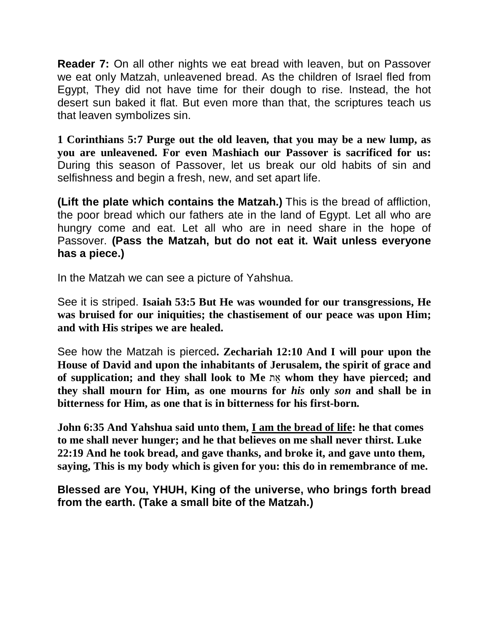**Reader 7:** On all other nights we eat bread with leaven, but on Passover we eat only Matzah, unleavened bread. As the children of Israel fled from Egypt, They did not have time for their dough to rise. Instead, the hot desert sun baked it flat. But even more than that, the scriptures teach us that leaven symbolizes sin.

**1 Corinthians 5:7 Purge out the old leaven, that you may be a new lump, as you are unleavened. For even Mashiach our Passover is sacrificed for us:** During this season of Passover, let us break our old habits of sin and selfishness and begin a fresh, new, and set apart life.

**(Lift the plate which contains the Matzah.)** This is the bread of affliction, the poor bread which our fathers ate in the land of Egypt. Let all who are hungry come and eat. Let all who are in need share in the hope of Passover. **(Pass the Matzah, but do not eat it. Wait unless everyone has a piece.)**

In the Matzah we can see a picture of Yahshua.

See it is striped. **Isaiah 53:5 But He was wounded for our transgressions, He was bruised for our iniquities; the chastisement of our peace was upon Him; and with His stripes we are healed.**

See how the Matzah is pierced**. Zechariah 12:10 And I will pour upon the House of David and upon the inhabitants of Jerusalem, the spirit of grace and of supplication; and they shall look to Me** ת ֵא **whom they have pierced; and they shall mourn for Him, as one mourns for** *his* **only** *son* **and shall be in bitterness for Him, as one that is in bitterness for his first-born.** 

**John 6:35 And Yahshua said unto them, I am the bread of life: he that comes to me shall never hunger; and he that believes on me shall never thirst. Luke 22:19 And he took bread, and gave thanks, and broke it, and gave unto them, saying, This is my body which is given for you: this do in remembrance of me.**

**Blessed are You, YHUH, King of the universe, who brings forth bread from the earth. (Take a small bite of the Matzah.)**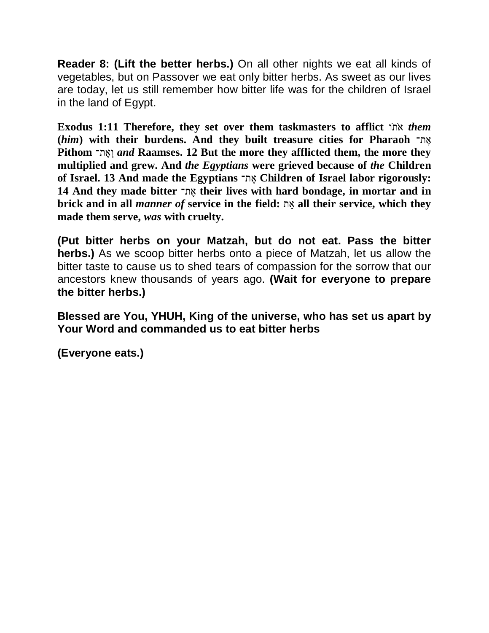**Reader 8: (Lift the better herbs.)** On all other nights we eat all kinds of vegetables, but on Passover we eat only bitter herbs. As sweet as our lives are today, let us still remember how bitter life was for the children of Israel in the land of Egypt.

**Exodus 1:11 Therefore, they set over them taskmasters to afflict** וֹ תֹ א *them* **(***him***) with their burdens. And they built treasure cities for Pharaoh** ת־ ֶא **Pithom** וְאֶת־ *and* Raamses. 12 But the more they afflicted them, the more they **multiplied and grew. And** *the Egyptians* **were grieved because of** *the* **Children of Israel. 13 And made the Egyptians** ת־ ֶא **Children of Israel labor rigorously: 14 And they made bitter** ת־ ֶא **their lives with hard bondage, in mortar and in brick and in all** *manner of* **service in the field:** ת ֵא **all their service, which they made them serve,** *was* **with cruelty.** 

**(Put bitter herbs on your Matzah, but do not eat. Pass the bitter herbs.)** As we scoop bitter herbs onto a piece of Matzah, let us allow the bitter taste to cause us to shed tears of compassion for the sorrow that our ancestors knew thousands of years ago. **(Wait for everyone to prepare the bitter herbs.)**

**Blessed are You, YHUH, King of the universe, who has set us apart by Your Word and commanded us to eat bitter herbs**

**(Everyone eats.)**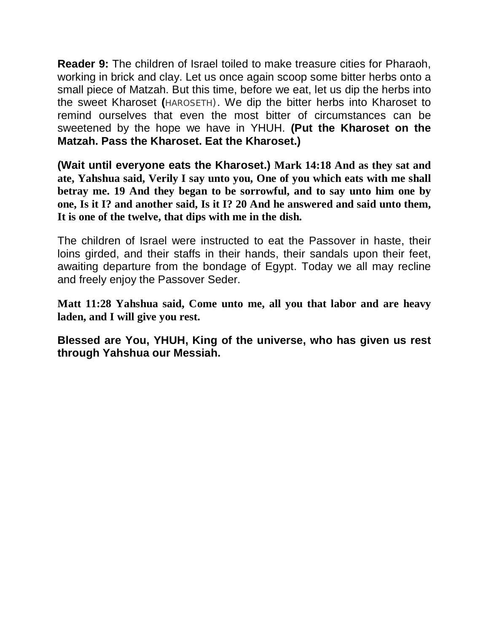**Reader 9:** The children of Israel toiled to make treasure cities for Pharaoh, working in brick and clay. Let us once again scoop some bitter herbs onto a small piece of Matzah. But this time, before we eat, let us dip the herbs into the sweet Kharoset **(**HAROSETH). We dip the bitter herbs into Kharoset to remind ourselves that even the most bitter of circumstances can be sweetened by the hope we have in YHUH. **(Put the Kharoset on the Matzah. Pass the Kharoset. Eat the Kharoset.)**

**(Wait until everyone eats the Kharoset.) Mark 14:18 And as they sat and ate, Yahshua said, Verily I say unto you, One of you which eats with me shall betray me. 19 And they began to be sorrowful, and to say unto him one by one, Is it I? and another said, Is it I? 20 And he answered and said unto them, It is one of the twelve, that dips with me in the dish.**

The children of Israel were instructed to eat the Passover in haste, their loins girded, and their staffs in their hands, their sandals upon their feet, awaiting departure from the bondage of Egypt. Today we all may recline and freely enjoy the Passover Seder.

**Matt 11:28 Yahshua said, Come unto me, all you that labor and are heavy laden, and I will give you rest.**

**Blessed are You, YHUH, King of the universe, who has given us rest through Yahshua our Messiah.**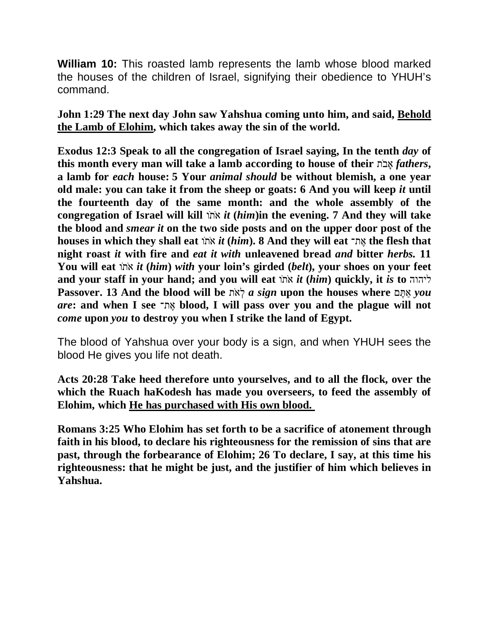**William 10:** This roasted lamb represents the lamb whose blood marked the houses of the children of Israel, signifying their obedience to YHUH's command.

**John 1:29 The next day John saw Yahshua coming unto him, and said, Behold the Lamb of Elohim, which takes away the sin of the world.**

**Exodus 12:3 Speak to all the congregation of Israel saying, In the tenth** *day* **of**  this month every man will take a lamb according to house of their  $\pi$ אבה *fathers*, **a lamb for** *each* **house: 5 Your** *animal should* **be without blemish, a one year old male: you can take it from the sheep or goats: 6 And you will keep** *it* **until the fourteenth day of the same month: and the whole assembly of the congregation of Israel will kill** וֹ תֹ א *it* **(***him***)in the evening. 7 And they will take the blood and** *smear it* **on the two side posts and on the upper door post of the houses in which they shall eat** וֹ תֹ א *it* **(***him***). 8 And they will eat** ת־ ֶא **the flesh that night roast** *it* **with fire and** *eat it with* **unleavened bread** *and* **bitter** *herbs.* **11 You will eat** וֹ תֹ א *it* **(***him***)** *with* **your loin's girded (***belt***), your shoes on your feet**  and your staff in your hand; and you will eat  $\overline{n}$  *ink it* (*him*) quickly, it *is* to  $\overline{n}$ **Passover. 13 And the blood will be** תֹ א ְל *a sign* **upon the houses where** ם ֶתּ ַא *you are***: and when I see** ת־ ֶא **blood, I will pass over you and the plague will not**  *come* **upon** *you* **to destroy you when I strike the land of Egypt.**

The blood of Yahshua over your body is a sign, and when YHUH sees the blood He gives you life not death.

**Acts 20:28 Take heed therefore unto yourselves, and to all the flock, over the which the Ruach haKodesh has made you overseers, to feed the assembly of Elohim, which He has purchased with His own blood.**

**Romans 3:25 Who Elohim has set forth to be a sacrifice of atonement through faith in his blood, to declare his righteousness for the remission of sins that are past, through the forbearance of Elohim; 26 To declare, I say, at this time his righteousness: that he might be just, and the justifier of him which believes in Yahshua.**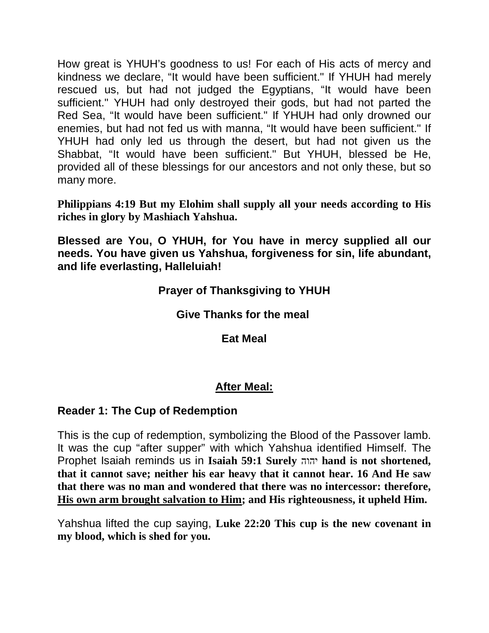How great is YHUH's goodness to us! For each of His acts of mercy and kindness we declare, "It would have been sufficient." If YHUH had merely rescued us, but had not judged the Egyptians, "It would have been sufficient." YHUH had only destroyed their gods, but had not parted the Red Sea, "It would have been sufficient." If YHUH had only drowned our enemies, but had not fed us with manna, "It would have been sufficient." If YHUH had only led us through the desert, but had not given us the Shabbat, "It would have been sufficient." But YHUH, blessed be He, provided all of these blessings for our ancestors and not only these, but so many more.

**Philippians 4:19 But my Elohim shall supply all your needs according to His riches in glory by Mashiach Yahshua.**

**Blessed are You, O YHUH, for You have in mercy supplied all our needs. You have given us Yahshua, forgiveness for sin, life abundant, and life everlasting, Halleluiah!**

## **Prayer of Thanksgiving to YHUH**

## **Give Thanks for the meal**

**Eat Meal**

## **After Meal:**

## **Reader 1: The Cup of Redemption**

This is the cup of redemption, symbolizing the Blood of the Passover lamb. It was the cup "after supper" with which Yahshua identified Himself. The Prophet Isaiah reminds us in **Isaiah 59:1 Surely** יהוה **hand is not shortened, that it cannot save; neither his ear heavy that it cannot hear. 16 And He saw that there was no man and wondered that there was no intercessor: therefore, His own arm brought salvation to Him; and His righteousness, it upheld Him.**

Yahshua lifted the cup saying, **Luke 22:20 This cup is the new covenant in my blood, which is shed for you.**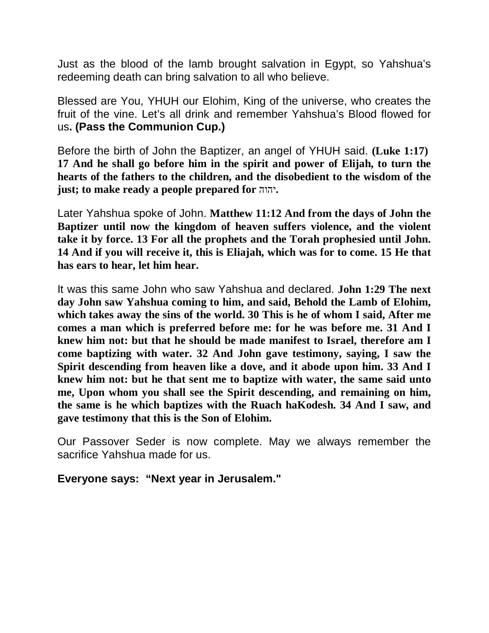Just as the blood of the lamb brought salvation in Egypt, so Yahshua's redeeming death can bring salvation to all who believe.

Blessed are You, YHUH our Elohim, King of the universe, who creates the fruit of the vine. Let's all drink and remember Yahshua's Blood flowed for us**. (Pass the Communion Cup.)**

Before the birth of John the Baptizer, an angel of YHUH said. **(Luke 1:17) 17 And he shall go before him in the spirit and power of Elijah, to turn the hearts of the fathers to the children, and the disobedient to the wisdom of the just; to make ready a people prepared for** יהוה**.**

Later Yahshua spoke of John. **Matthew 11:12 And from the days of John the Baptizer until now the kingdom of heaven suffers violence, and the violent take it by force. 13 For all the prophets and the Torah prophesied until John. 14 And if you will receive it, this is Eliajah, which was for to come. 15 He that has ears to hear, let him hear.**

It was this same John who saw Yahshua and declared. **John 1:29 The next day John saw Yahshua coming to him, and said, Behold the Lamb of Elohim, which takes away the sins of the world. 30 This is he of whom I said, After me comes a man which is preferred before me: for he was before me. 31 And I knew him not: but that he should be made manifest to Israel, therefore am I come baptizing with water. 32 And John gave testimony, saying, I saw the Spirit descending from heaven like a dove, and it abode upon him. 33 And I knew him not: but he that sent me to baptize with water, the same said unto me, Upon whom you shall see the Spirit descending, and remaining on him, the same is he which baptizes with the Ruach haKodesh. 34 And I saw, and gave testimony that this is the Son of Elohim.**

Our Passover Seder is now complete. May we always remember the sacrifice Yahshua made for us.

**Everyone says: "Next year in Jerusalem."**